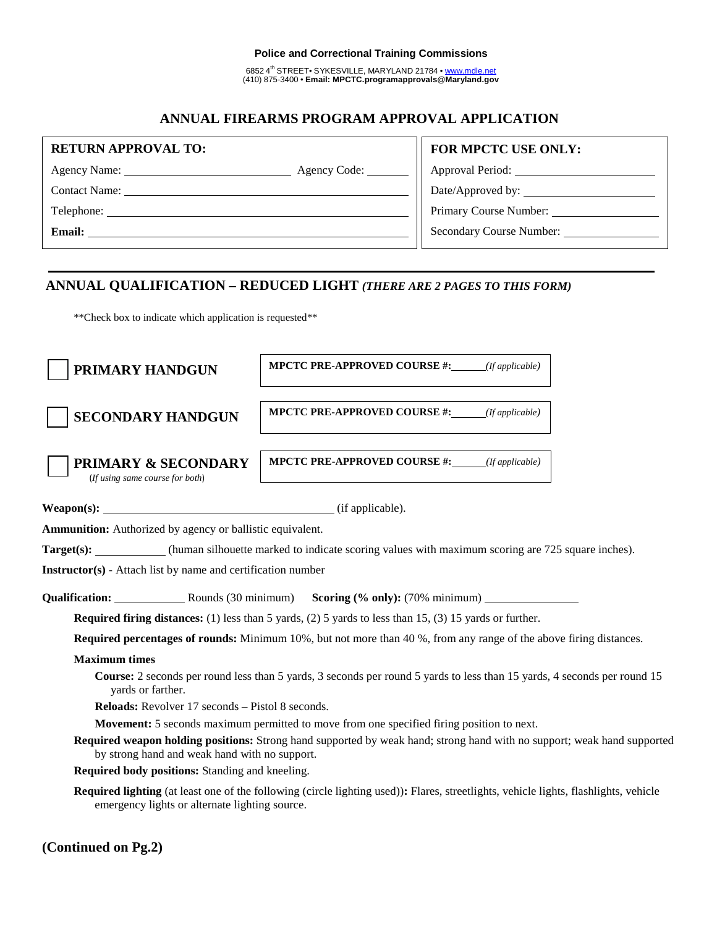#### **Police and Correctional Training Commissions**

6852 4th STREET• SYKESVILLE, MARYLAND 21784 • www.mdle.net (410) 875-3400 • **Email: MPCTC.programapprovals@Maryland.gov**

## **ANNUAL FIREARMS PROGRAM APPROVAL APPLICATION**

| <b>RETURN APPROVAL TO:</b> | FOR MPCTC USE ONLY:             |
|----------------------------|---------------------------------|
| Agency Code:               | Approval Period: ___________    |
| <b>Contact Name:</b>       |                                 |
| Telephone:                 |                                 |
| <b>Email:</b>              | <b>Secondary Course Number:</b> |
|                            |                                 |

# **ANNUAL QUALIFICATION – REDUCED LIGHT** *(THERE ARE 2 PAGES TO THIS FORM)*

\*\*Check box to indicate which application is requested\*\*

| PRIMARY HANDGUN                                                                                                                                                          | <b>MPCTC PRE-APPROVED COURSE #:</b> ( <i>If applicable</i> )                                                                                |  |  |  |  |
|--------------------------------------------------------------------------------------------------------------------------------------------------------------------------|---------------------------------------------------------------------------------------------------------------------------------------------|--|--|--|--|
| <b>SECONDARY HANDGUN</b>                                                                                                                                                 | <b>MPCTC PRE-APPROVED COURSE #:</b> ( <i>If applicable</i> )                                                                                |  |  |  |  |
| <b>PRIMARY &amp; SECONDARY</b><br>(If using same course for both)                                                                                                        | <b>MPCTC PRE-APPROVED COURSE #:</b> $(f \text{ applicable})$                                                                                |  |  |  |  |
|                                                                                                                                                                          |                                                                                                                                             |  |  |  |  |
| Ammunition: Authorized by agency or ballistic equivalent.                                                                                                                |                                                                                                                                             |  |  |  |  |
| Target(s): (human silhouette marked to indicate scoring values with maximum scoring are 725 square inches).                                                              |                                                                                                                                             |  |  |  |  |
| <b>Instructor(s)</b> - Attach list by name and certification number                                                                                                      |                                                                                                                                             |  |  |  |  |
| Qualification: Rounds (30 minimum) Scoring (% only): (70% minimum)                                                                                                       |                                                                                                                                             |  |  |  |  |
| <b>Required firing distances:</b> (1) less than 5 yards, (2) 5 yards to less than 15, (3) 15 yards or further.                                                           |                                                                                                                                             |  |  |  |  |
| <b>Required percentages of rounds:</b> Minimum 10%, but not more than 40%, from any range of the above firing distances.                                                 |                                                                                                                                             |  |  |  |  |
| <b>Maximum</b> times                                                                                                                                                     |                                                                                                                                             |  |  |  |  |
| yards or farther.                                                                                                                                                        | Course: 2 seconds per round less than 5 yards, 3 seconds per round 5 yards to less than 15 yards, 4 seconds per round 15                    |  |  |  |  |
| <b>Reloads:</b> Revolver 17 seconds – Pistol 8 seconds.                                                                                                                  |                                                                                                                                             |  |  |  |  |
| <b>Movement:</b> 5 seconds maximum permitted to move from one specified firing position to next.                                                                         |                                                                                                                                             |  |  |  |  |
| Required weapon holding positions: Strong hand supported by weak hand; strong hand with no support; weak hand supported<br>by strong hand and weak hand with no support. |                                                                                                                                             |  |  |  |  |
| Required body positions: Standing and kneeling.                                                                                                                          |                                                                                                                                             |  |  |  |  |
| emergency lights or alternate lighting source.                                                                                                                           | <b>Required lighting</b> (at least one of the following (circle lighting used)): Flares, streetlights, vehicle lights, flashlights, vehicle |  |  |  |  |